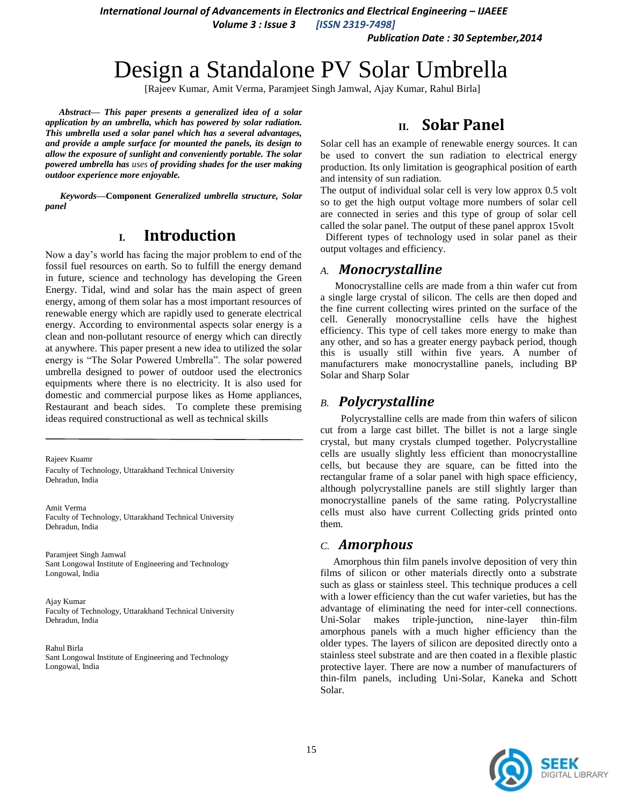*International Journal of Advancements in Electronics and Electrical Engineering - IJAEEE* 

*Volume 3 : Issue 3 [ISSN 2319-7498]*

*Publication Date : 30 September,2014*

# Design a Standalone PV Solar Umbrella

[Rajeev Kumar, Amit Verma, Paramjeet Singh Jamwal, Ajay Kumar, Rahul Birla]

*Abstract***—** *This paper presents a generalized idea of a solar application by an umbrella, which has powered by solar radiation. This umbrella used a solar panel which has a several advantages, and provide a ample surface for mounted the panels, its design to allow the exposure of sunlight and conveniently portable. The solar powered umbrella has uses of providing shades for the user making outdoor experience more enjoyable.*

*Keywords—***Component** *Generalized umbrella structure, Solar panel*

### **I. Introduction**

Now a day's world has facing the major problem to end of the fossil fuel resources on earth. So to fulfill the energy demand in future, science and technology has developing the Green Energy. Tidal, wind and solar has the main aspect of green energy, among of them solar has a most important resources of renewable energy which are rapidly used to generate electrical energy. According to environmental aspects solar energy is a clean and non-pollutant resource of energy which can directly at anywhere. This paper present a new idea to utilized the solar energy is "The Solar Powered Umbrella". The solar powered umbrella designed to power of outdoor used the electronics equipments where there is no electricity. It is also used for domestic and commercial purpose likes as Home appliances, Restaurant and beach sides. To complete these premising ideas required constructional as well as technical skills

Rajeev Kuamr Faculty of Technology, Uttarakhand Technical University Dehradun, India

Amit Verma Faculty of Technology, Uttarakhand Technical University Dehradun, India

Paramjeet Singh Jamwal Sant Longowal Institute of Engineering and Technology Longowal, India

Ajay Kumar Faculty of Technology, Uttarakhand Technical University Dehradun, India

Rahul Birla Sant Longowal Institute of Engineering and Technology Longowal, India

### **II. Solar Panel**

Solar cell has an example of renewable energy sources. It can be used to convert the sun radiation to electrical energy production. Its only limitation is geographical position of earth and intensity of sun radiation.

The output of individual solar cell is very low approx 0.5 volt so to get the high output voltage more numbers of solar cell are connected in series and this type of group of solar cell called the solar panel. The output of these panel approx 15volt Different types of technology used in solar panel as their output voltages and efficiency.

#### *A. Monocrystalline*

Monocrystalline cells are made from a thin wafer cut from a single large crystal of silicon. The cells are then doped and the fine current collecting wires printed on the surface of the cell. Generally monocrystalline cells have the highest efficiency. This type of cell takes more energy to make than any other, and so has a greater energy payback period, though this is usually still within five years. A number of manufacturers make monocrystalline panels, including BP Solar and Sharp Solar

### *B. Polycrystalline*

 Polycrystalline cells are made from thin wafers of silicon cut from a large cast billet. The billet is not a large single crystal, but many crystals clumped together. Polycrystalline cells are usually slightly less efficient than monocrystalline cells, but because they are square, can be fitted into the rectangular frame of a solar panel with high space efficiency, although polycrystalline panels are still slightly larger than monocrystalline panels of the same rating. Polycrystalline cells must also have current Collecting grids printed onto them.

#### *C. Amorphous*

 Amorphous thin film panels involve deposition of very thin films of silicon or other materials directly onto a substrate such as glass or stainless steel. This technique produces a cell with a lower efficiency than the cut wafer varieties, but has the advantage of eliminating the need for inter-cell connections. Uni-Solar makes triple-junction, nine-layer thin-film amorphous panels with a much higher efficiency than the older types. The layers of silicon are deposited directly onto a stainless steel substrate and are then coated in a flexible plastic protective layer. There are now a number of manufacturers of thin-film panels, including Uni-Solar, Kaneka and Schott Solar.

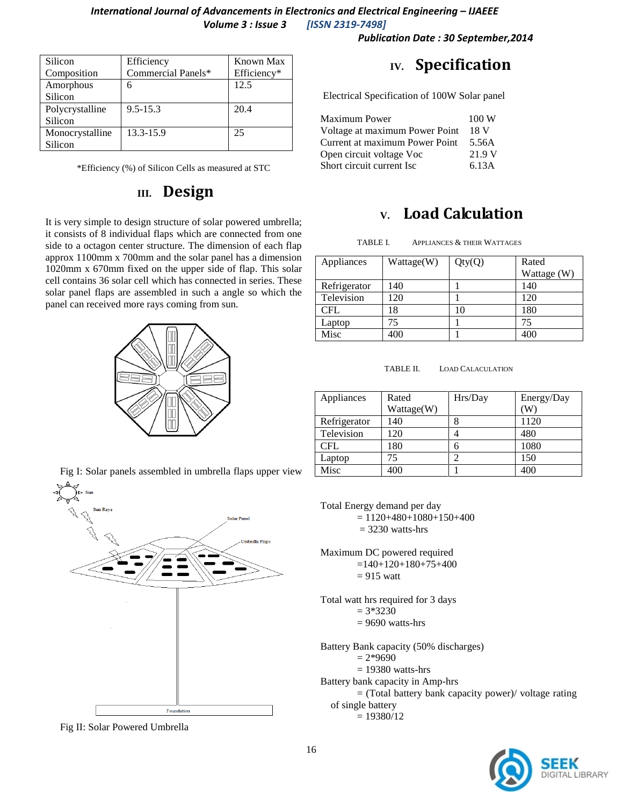#### *International Journal of Advancements in Electronics and Electrical Engineering – IJAEEE Volume 3 : Issue 3 [ISSN 2319-7498]*

*Publication Date : 30 September,2014*

| Silicon         | Efficiency         | Known Max   |
|-----------------|--------------------|-------------|
| Composition     | Commercial Panels* | Efficiency* |
| Amorphous       | 6                  | 12.5        |
| Silicon         |                    |             |
| Polycrystalline | $9.5 - 15.3$       | 20.4        |
| Silicon         |                    |             |
| Monocrystalline | 13.3-15.9          | 25          |
| Silicon         |                    |             |

\*Efficiency (%) of Silicon Cells as measured at STC

### **III. Design**

It is very simple to design structure of solar powered umbrella; it consists of 8 individual flaps which are connected from one side to a octagon center structure. The dimension of each flap approx 1100mm x 700mm and the solar panel has a dimension 1020mm x 670mm fixed on the upper side of flap. This solar cell contains 36 solar cell which has connected in series. These solar panel flaps are assembled in such a angle so which the panel can received more rays coming from sun.



Fig I: Solar panels assembled in umbrella flaps upper view



Fig II: Solar Powered Umbrella

### **IV. Specification**

Electrical Specification of 100W Solar panel

| Maximum Power                  | 100W   |
|--------------------------------|--------|
| Voltage at maximum Power Point | 18 V   |
| Current at maximum Power Point | 5.56A  |
| Open circuit voltage Voc       | 21.9 V |
| Short circuit current Isc      | 6.13A  |

### **V. Load Calculation**

TABLE I. APPLIANCES & THEIR WATTAGES

| Appliances   | Wattage(W) | Qty(Q) | Rated       |
|--------------|------------|--------|-------------|
|              |            |        | Wattage (W) |
| Refrigerator | 140        |        | 140         |
| Television   | 120        |        | 120         |
| CFL          | 18         | 10     | 180         |
| Laptop       | 75         |        | 75          |
| Misc         | 400        |        | 400         |

TABLE II. LOAD CALACULATION

| Appliances   | Rated      | Hrs/Day | Energy/Day |
|--------------|------------|---------|------------|
|              | Wattage(W) |         | W          |
| Refrigerator | 140        |         | 1120       |
| Television   | 120        |         | 480        |
| <b>CFL</b>   | 180        | 6       | 1080       |
| Laptop       | 75         |         | 150        |
| Misc         | 400        |         | 400        |

Total Energy demand per day  $= 1120+480+1080+150+400$  $= 3230$  watts-hrs

Maximum DC powered required  $=140+120+180+75+400$  $= 915$  watt

Total watt hrs required for 3 days  $= 3*3230$ 

 $= 9690$  watts-hrs

Battery Bank capacity (50% discharges)

 $= 2*9690$ 

- $= 19380$  watts-hrs
- Battery bank capacity in Amp-hrs

= (Total battery bank capacity power)/ voltage rating of single battery

 $= 19380/12$